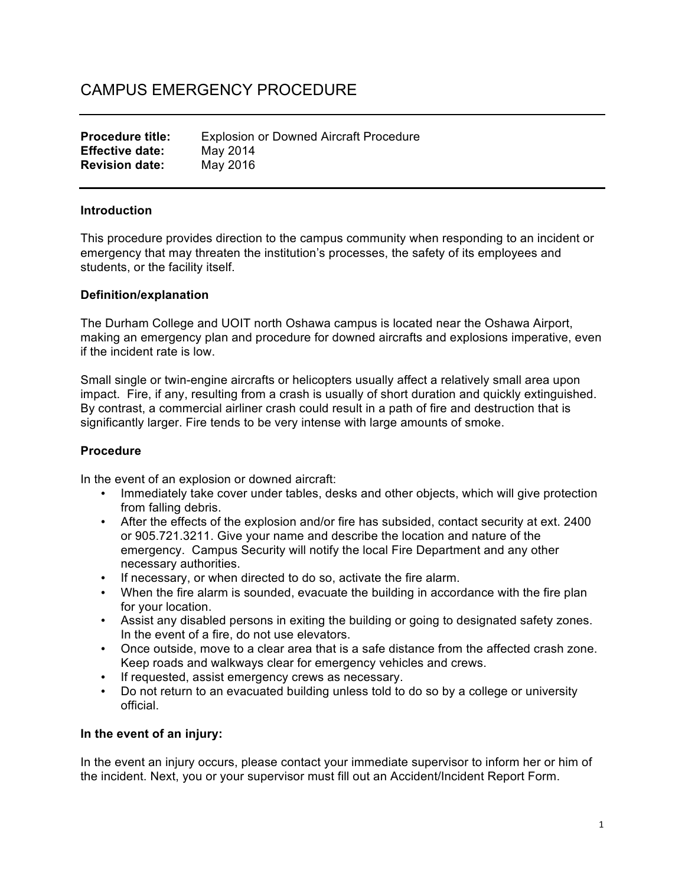# CAMPUS EMERGENCY PROCEDURE

| <b>Procedure title:</b> | <b>Explosion or Downed Aircraft Procedure</b> |
|-------------------------|-----------------------------------------------|
| <b>Effective date:</b>  | May 2014                                      |
| <b>Revision date:</b>   | May 2016                                      |

#### **Introduction**

This procedure provides direction to the campus community when responding to an incident or emergency that may threaten the institution's processes, the safety of its employees and students, or the facility itself.

#### **Definition/explanation**

The Durham College and UOIT north Oshawa campus is located near the Oshawa Airport, making an emergency plan and procedure for downed aircrafts and explosions imperative, even if the incident rate is low.

Small single or twin-engine aircrafts or helicopters usually affect a relatively small area upon impact. Fire, if any, resulting from a crash is usually of short duration and quickly extinguished. By contrast, a commercial airliner crash could result in a path of fire and destruction that is significantly larger. Fire tends to be very intense with large amounts of smoke.

## **Procedure**

In the event of an explosion or downed aircraft:

- Immediately take cover under tables, desks and other objects, which will give protection from falling debris.
- After the effects of the explosion and/or fire has subsided, contact security at ext. 2400 or 905.721.3211. Give your name and describe the location and nature of the emergency. Campus Security will notify the local Fire Department and any other necessary authorities.
- If necessary, or when directed to do so, activate the fire alarm.
- When the fire alarm is sounded, evacuate the building in accordance with the fire plan for your location.
- Assist any disabled persons in exiting the building or going to designated safety zones. In the event of a fire, do not use elevators.
- Once outside, move to a clear area that is a safe distance from the affected crash zone. Keep roads and walkways clear for emergency vehicles and crews.
- If requested, assist emergency crews as necessary.
- Do not return to an evacuated building unless told to do so by a college or university official.

## **In the event of an injury:**

In the event an injury occurs, please contact your immediate supervisor to inform her or him of the incident. Next, you or your supervisor must fill out an Accident/Incident Report Form.